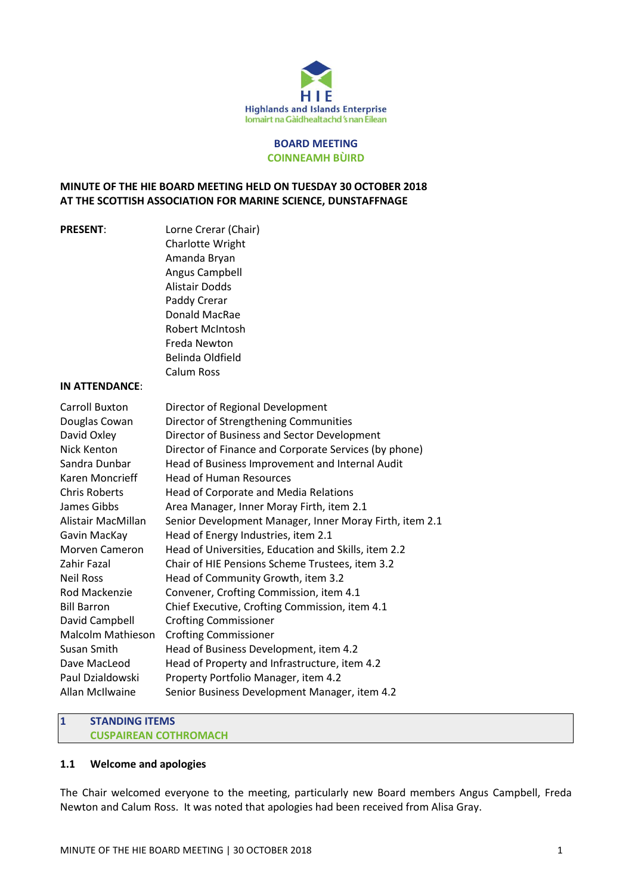

#### **BOARD MEETING COINNEAMH BÙIRD**

## **MINUTE OF THE HIE BOARD MEETING HELD ON TUESDAY 30 OCTOBER 2018 AT THE SCOTTISH ASSOCIATION FOR MARINE SCIENCE, DUNSTAFFNAGE**

**PRESENT:** Lorne Crerar (Chair) Charlotte Wright Amanda Bryan Angus Campbell Alistair Dodds Paddy Crerar Donald MacRae Robert McIntosh Freda Newton Belinda Oldfield Calum Ross

#### **IN ATTENDANCE**:

| Carroll Buxton       | Director of Regional Development                        |  |  |
|----------------------|---------------------------------------------------------|--|--|
| Douglas Cowan        | Director of Strengthening Communities                   |  |  |
| David Oxley          | Director of Business and Sector Development             |  |  |
| Nick Kenton          | Director of Finance and Corporate Services (by phone)   |  |  |
| Sandra Dunbar        | Head of Business Improvement and Internal Audit         |  |  |
| Karen Moncrieff      | <b>Head of Human Resources</b>                          |  |  |
| <b>Chris Roberts</b> | Head of Corporate and Media Relations                   |  |  |
| James Gibbs          | Area Manager, Inner Moray Firth, item 2.1               |  |  |
| Alistair MacMillan   | Senior Development Manager, Inner Moray Firth, item 2.1 |  |  |
| Gavin MacKay         | Head of Energy Industries, item 2.1                     |  |  |
| Morven Cameron       | Head of Universities, Education and Skills, item 2.2    |  |  |
| Zahir Fazal          | Chair of HIE Pensions Scheme Trustees, item 3.2         |  |  |
| <b>Neil Ross</b>     | Head of Community Growth, item 3.2                      |  |  |
| Rod Mackenzie        | Convener, Crofting Commission, item 4.1                 |  |  |
| <b>Bill Barron</b>   | Chief Executive, Crofting Commission, item 4.1          |  |  |
| David Campbell       | <b>Crofting Commissioner</b>                            |  |  |
| Malcolm Mathieson    | <b>Crofting Commissioner</b>                            |  |  |
| Susan Smith          | Head of Business Development, item 4.2                  |  |  |
| Dave MacLeod         | Head of Property and Infrastructure, item 4.2           |  |  |
| Paul Dzialdowski     | Property Portfolio Manager, item 4.2                    |  |  |
| Allan McIlwaine      | Senior Business Development Manager, item 4.2           |  |  |

#### **1 STANDING ITEMS CUSPAIREAN COTHROMACH**

# **1.1 Welcome and apologies**

The Chair welcomed everyone to the meeting, particularly new Board members Angus Campbell, Freda Newton and Calum Ross. It was noted that apologies had been received from Alisa Gray.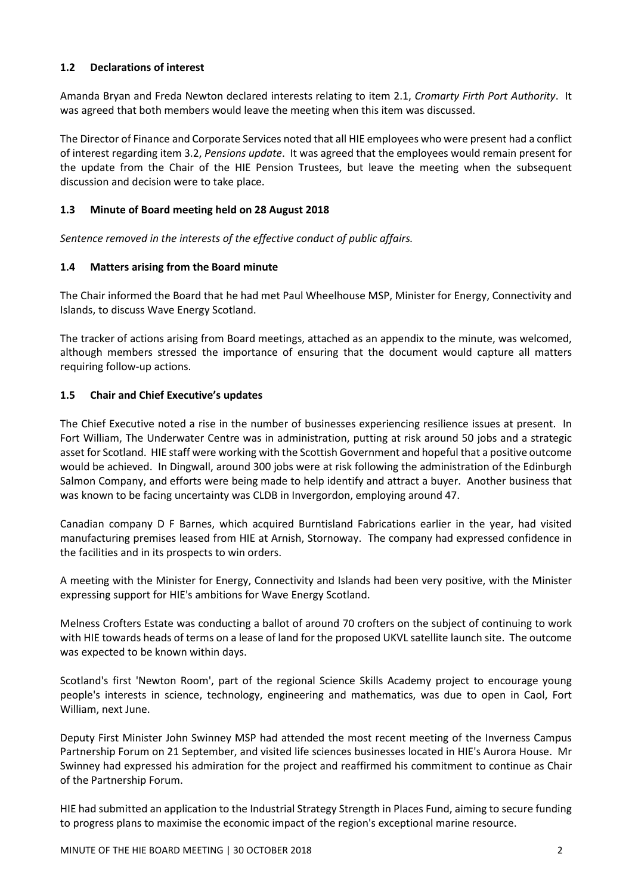## **1.2 Declarations of interest**

Amanda Bryan and Freda Newton declared interests relating to item 2.1, *Cromarty Firth Port Authority*. It was agreed that both members would leave the meeting when this item was discussed.

The Director of Finance and Corporate Services noted that all HIE employees who were present had a conflict of interest regarding item 3.2, *Pensions update*. It was agreed that the employees would remain present for the update from the Chair of the HIE Pension Trustees, but leave the meeting when the subsequent discussion and decision were to take place.

## **1.3 Minute of Board meeting held on 28 August 2018**

*Sentence removed in the interests of the effective conduct of public affairs.* 

## **1.4 Matters arising from the Board minute**

The Chair informed the Board that he had met Paul Wheelhouse MSP, Minister for Energy, Connectivity and Islands, to discuss Wave Energy Scotland.

The tracker of actions arising from Board meetings, attached as an appendix to the minute, was welcomed, although members stressed the importance of ensuring that the document would capture all matters requiring follow-up actions.

## **1.5 Chair and Chief Executive's updates**

The Chief Executive noted a rise in the number of businesses experiencing resilience issues at present. In Fort William, The Underwater Centre was in administration, putting at risk around 50 jobs and a strategic asset for Scotland. HIE staff were working with the Scottish Government and hopeful that a positive outcome would be achieved. In Dingwall, around 300 jobs were at risk following the administration of the Edinburgh Salmon Company, and efforts were being made to help identify and attract a buyer. Another business that was known to be facing uncertainty was CLDB in Invergordon, employing around 47.

Canadian company D F Barnes, which acquired Burntisland Fabrications earlier in the year, had visited manufacturing premises leased from HIE at Arnish, Stornoway. The company had expressed confidence in the facilities and in its prospects to win orders.

A meeting with the Minister for Energy, Connectivity and Islands had been very positive, with the Minister expressing support for HIE's ambitions for Wave Energy Scotland.

Melness Crofters Estate was conducting a ballot of around 70 crofters on the subject of continuing to work with HIE towards heads of terms on a lease of land for the proposed UKVL satellite launch site. The outcome was expected to be known within days.

Scotland's first 'Newton Room', part of the regional Science Skills Academy project to encourage young people's interests in science, technology, engineering and mathematics, was due to open in Caol, Fort William, next June.

Deputy First Minister John Swinney MSP had attended the most recent meeting of the Inverness Campus Partnership Forum on 21 September, and visited life sciences businesses located in HIE's Aurora House. Mr Swinney had expressed his admiration for the project and reaffirmed his commitment to continue as Chair of the Partnership Forum.

HIE had submitted an application to the Industrial Strategy Strength in Places Fund, aiming to secure funding to progress plans to maximise the economic impact of the region's exceptional marine resource.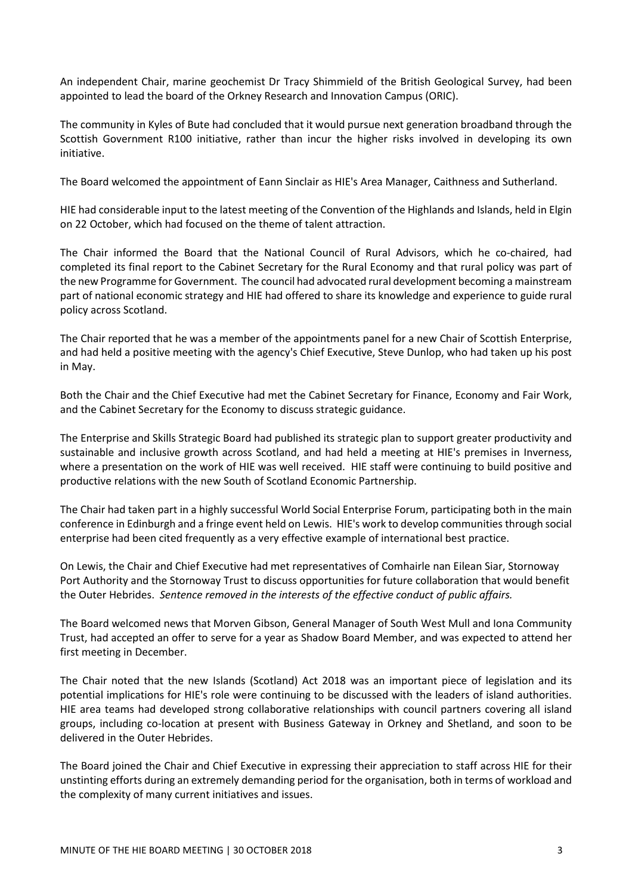An independent Chair, marine geochemist Dr Tracy Shimmield of the British Geological Survey, had been appointed to lead the board of the Orkney Research and Innovation Campus (ORIC).

The community in Kyles of Bute had concluded that it would pursue next generation broadband through the Scottish Government R100 initiative, rather than incur the higher risks involved in developing its own initiative.

The Board welcomed the appointment of Eann Sinclair as HIE's Area Manager, Caithness and Sutherland.

HIE had considerable input to the latest meeting of the Convention of the Highlands and Islands, held in Elgin on 22 October, which had focused on the theme of talent attraction.

The Chair informed the Board that the National Council of Rural Advisors, which he co-chaired, had completed its final report to the Cabinet Secretary for the Rural Economy and that rural policy was part of the new Programme for Government. The council had advocated rural development becoming a mainstream part of national economic strategy and HIE had offered to share its knowledge and experience to guide rural policy across Scotland.

The Chair reported that he was a member of the appointments panel for a new Chair of Scottish Enterprise, and had held a positive meeting with the agency's Chief Executive, Steve Dunlop, who had taken up his post in May.

Both the Chair and the Chief Executive had met the Cabinet Secretary for Finance, Economy and Fair Work, and the Cabinet Secretary for the Economy to discuss strategic guidance.

The Enterprise and Skills Strategic Board had published its strategic plan to support greater productivity and sustainable and inclusive growth across Scotland, and had held a meeting at HIE's premises in Inverness, where a presentation on the work of HIE was well received. HIE staff were continuing to build positive and productive relations with the new South of Scotland Economic Partnership.

The Chair had taken part in a highly successful World Social Enterprise Forum, participating both in the main conference in Edinburgh and a fringe event held on Lewis. HIE's work to develop communities through social enterprise had been cited frequently as a very effective example of international best practice.

On Lewis, the Chair and Chief Executive had met representatives of Comhairle nan Eilean Siar, Stornoway Port Authority and the Stornoway Trust to discuss opportunities for future collaboration that would benefit the Outer Hebrides. *Sentence removed in the interests of the effective conduct of public affairs.* 

The Board welcomed news that Morven Gibson, General Manager of South West Mull and Iona Community Trust, had accepted an offer to serve for a year as Shadow Board Member, and was expected to attend her first meeting in December.

The Chair noted that the new Islands (Scotland) Act 2018 was an important piece of legislation and its potential implications for HIE's role were continuing to be discussed with the leaders of island authorities. HIE area teams had developed strong collaborative relationships with council partners covering all island groups, including co-location at present with Business Gateway in Orkney and Shetland, and soon to be delivered in the Outer Hebrides.

The Board joined the Chair and Chief Executive in expressing their appreciation to staff across HIE for their unstinting efforts during an extremely demanding period for the organisation, both in terms of workload and the complexity of many current initiatives and issues.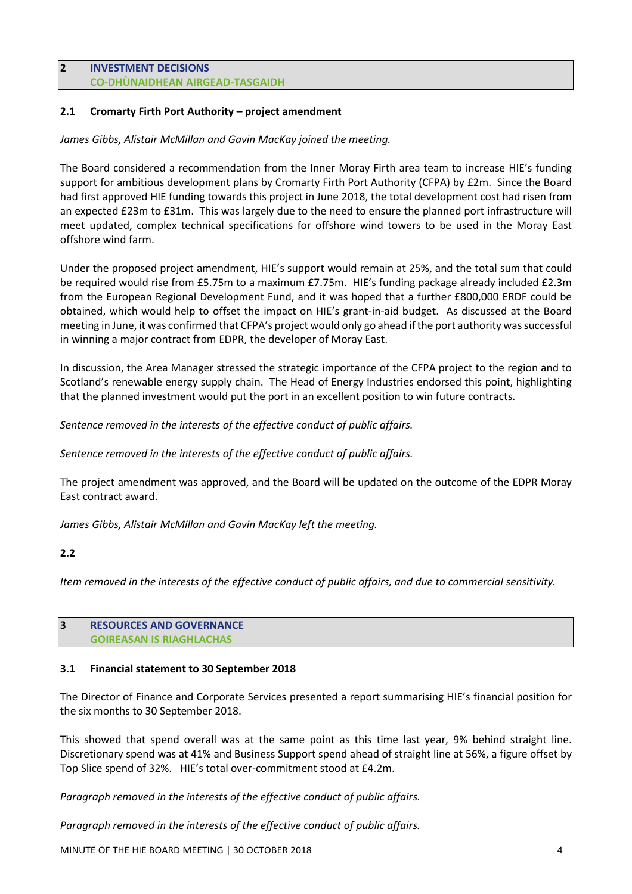#### **2 INVESTMENT DECISIONS CO-DHÙNAIDHEAN AIRGEAD-TASGAIDH**

## **2.1 Cromarty Firth Port Authority – project amendment**

*James Gibbs, Alistair McMillan and Gavin MacKay joined the meeting.*

The Board considered a recommendation from the Inner Moray Firth area team to increase HIE's funding support for ambitious development plans by Cromarty Firth Port Authority (CFPA) by £2m. Since the Board had first approved HIE funding towards this project in June 2018, the total development cost had risen from an expected £23m to £31m. This was largely due to the need to ensure the planned port infrastructure will meet updated, complex technical specifications for offshore wind towers to be used in the Moray East offshore wind farm.

Under the proposed project amendment, HIE's support would remain at 25%, and the total sum that could be required would rise from £5.75m to a maximum £7.75m. HIE's funding package already included £2.3m from the European Regional Development Fund, and it was hoped that a further £800,000 ERDF could be obtained, which would help to offset the impact on HIE's grant-in-aid budget. As discussed at the Board meeting in June, it was confirmed that CFPA's project would only go ahead ifthe port authority wassuccessful in winning a major contract from EDPR, the developer of Moray East.

In discussion, the Area Manager stressed the strategic importance of the CFPA project to the region and to Scotland's renewable energy supply chain. The Head of Energy Industries endorsed this point, highlighting that the planned investment would put the port in an excellent position to win future contracts.

*Sentence removed in the interests of the effective conduct of public affairs.* 

*Sentence removed in the interests of the effective conduct of public affairs.* 

The project amendment was approved, and the Board will be updated on the outcome of the EDPR Moray East contract award.

*James Gibbs, Alistair McMillan and Gavin MacKay left the meeting.*

## **2.2**

Item removed in the interests of the effective conduct of public affairs, and due to commercial sensitivity.

#### **3 RESOURCES AND GOVERNANCE GOIREASAN IS RIAGHLACHAS**

#### **3.1 Financial statement to 30 September 2018**

The Director of Finance and Corporate Services presented a report summarising HIE's financial position for the six months to 30 September 2018.

This showed that spend overall was at the same point as this time last year, 9% behind straight line. Discretionary spend was at 41% and Business Support spend ahead of straight line at 56%, a figure offset by Top Slice spend of 32%. HIE's total over-commitment stood at £4.2m.

*Paragraph removed in the interests of the effective conduct of public affairs.* 

*Paragraph removed in the interests of the effective conduct of public affairs.* 

MINUTE OF THE HIE BOARD MEETING | 30 OCTOBER 2018 4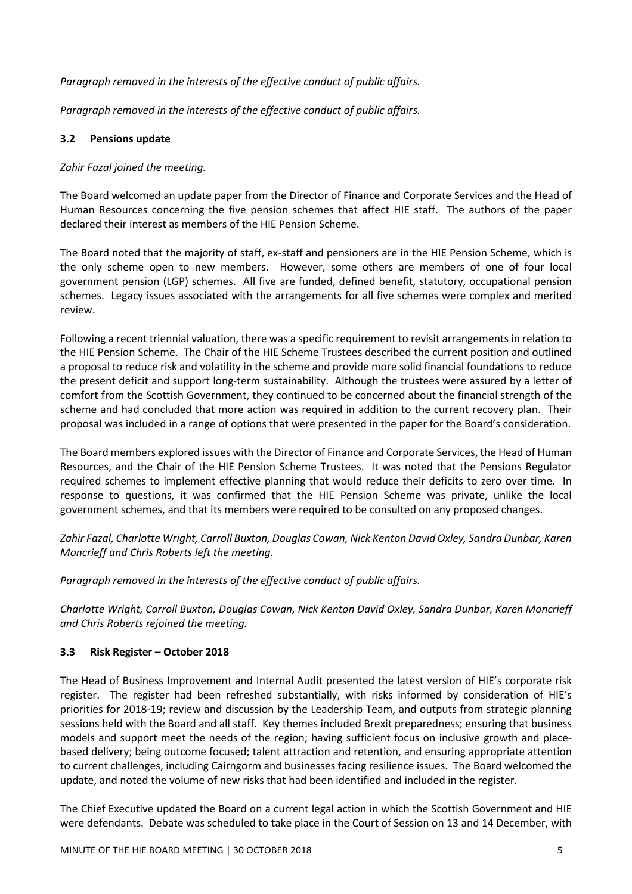*Paragraph removed in the interests of the effective conduct of public affairs.* 

*Paragraph removed in the interests of the effective conduct of public affairs.* 

## **3.2 Pensions update**

## *Zahir Fazal joined the meeting.*

The Board welcomed an update paper from the Director of Finance and Corporate Services and the Head of Human Resources concerning the five pension schemes that affect HIE staff. The authors of the paper declared their interest as members of the HIE Pension Scheme.

The Board noted that the majority of staff, ex-staff and pensioners are in the HIE Pension Scheme, which is the only scheme open to new members. However, some others are members of one of four local government pension (LGP) schemes. All five are funded, defined benefit, statutory, occupational pension schemes. Legacy issues associated with the arrangements for all five schemes were complex and merited review.

Following a recent triennial valuation, there was a specific requirement to revisit arrangements in relation to the HIE Pension Scheme. The Chair of the HIE Scheme Trustees described the current position and outlined a proposal to reduce risk and volatility in the scheme and provide more solid financial foundations to reduce the present deficit and support long-term sustainability. Although the trustees were assured by a letter of comfort from the Scottish Government, they continued to be concerned about the financial strength of the scheme and had concluded that more action was required in addition to the current recovery plan. Their proposal was included in a range of options that were presented in the paper for the Board's consideration.

The Board members explored issues with the Director of Finance and Corporate Services, the Head of Human Resources, and the Chair of the HIE Pension Scheme Trustees. It was noted that the Pensions Regulator required schemes to implement effective planning that would reduce their deficits to zero over time. In response to questions, it was confirmed that the HIE Pension Scheme was private, unlike the local government schemes, and that its members were required to be consulted on any proposed changes.

*Zahir Fazal, Charlotte Wright, Carroll Buxton, Douglas Cowan, Nick Kenton DavidOxley, Sandra Dunbar, Karen Moncrieff and Chris Roberts left the meeting.*

*Paragraph removed in the interests of the effective conduct of public affairs.* 

*Charlotte Wright, Carroll Buxton, Douglas Cowan, Nick Kenton David Oxley, Sandra Dunbar, Karen Moncrieff and Chris Roberts rejoined the meeting.*

## **3.3 Risk Register – October 2018**

The Head of Business Improvement and Internal Audit presented the latest version of HIE's corporate risk register. The register had been refreshed substantially, with risks informed by consideration of HIE's priorities for 2018-19; review and discussion by the Leadership Team, and outputs from strategic planning sessions held with the Board and all staff. Key themes included Brexit preparedness; ensuring that business models and support meet the needs of the region; having sufficient focus on inclusive growth and placebased delivery; being outcome focused; talent attraction and retention, and ensuring appropriate attention to current challenges, including Cairngorm and businesses facing resilience issues. The Board welcomed the update, and noted the volume of new risks that had been identified and included in the register.

The Chief Executive updated the Board on a current legal action in which the Scottish Government and HIE were defendants. Debate was scheduled to take place in the Court of Session on 13 and 14 December, with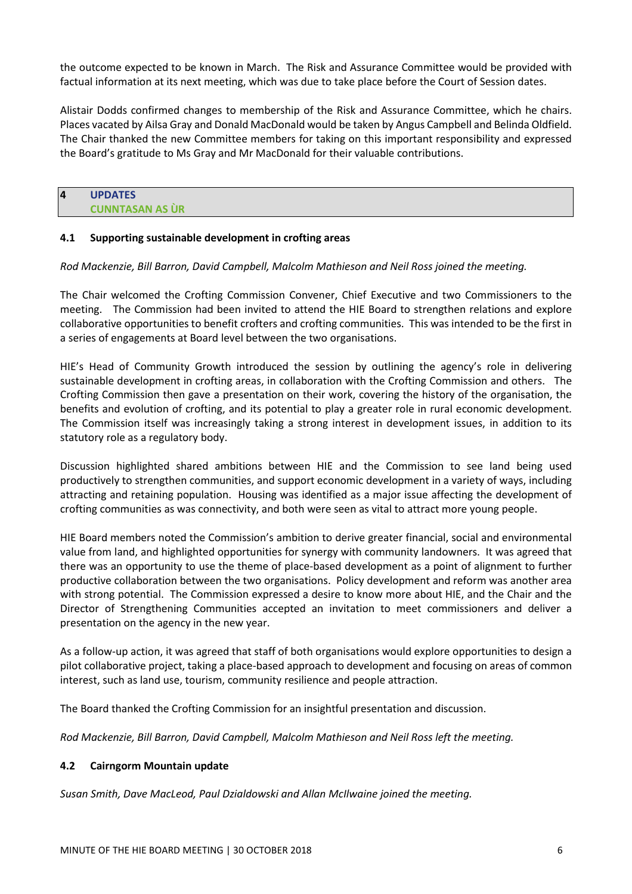the outcome expected to be known in March. The Risk and Assurance Committee would be provided with factual information at its next meeting, which was due to take place before the Court of Session dates.

Alistair Dodds confirmed changes to membership of the Risk and Assurance Committee, which he chairs. Places vacated by Ailsa Gray and Donald MacDonald would be taken by Angus Campbell and Belinda Oldfield. The Chair thanked the new Committee members for taking on this important responsibility and expressed the Board's gratitude to Ms Gray and Mr MacDonald for their valuable contributions.

| $\overline{4}$ | <b>UPDATES</b>         |
|----------------|------------------------|
|                | <b>CUNNTASAN AS ÙR</b> |

#### **4.1 Supporting sustainable development in crofting areas**

#### *Rod Mackenzie, Bill Barron, David Campbell, Malcolm Mathieson and Neil Ross joined the meeting.*

The Chair welcomed the Crofting Commission Convener, Chief Executive and two Commissioners to the meeting. The Commission had been invited to attend the HIE Board to strengthen relations and explore collaborative opportunities to benefit crofters and crofting communities. This was intended to be the first in a series of engagements at Board level between the two organisations.

HIE's Head of Community Growth introduced the session by outlining the agency's role in delivering sustainable development in crofting areas, in collaboration with the Crofting Commission and others. The Crofting Commission then gave a presentation on their work, covering the history of the organisation, the benefits and evolution of crofting, and its potential to play a greater role in rural economic development. The Commission itself was increasingly taking a strong interest in development issues, in addition to its statutory role as a regulatory body.

Discussion highlighted shared ambitions between HIE and the Commission to see land being used productively to strengthen communities, and support economic development in a variety of ways, including attracting and retaining population. Housing was identified as a major issue affecting the development of crofting communities as was connectivity, and both were seen as vital to attract more young people.

HIE Board members noted the Commission's ambition to derive greater financial, social and environmental value from land, and highlighted opportunities for synergy with community landowners. It was agreed that there was an opportunity to use the theme of place-based development as a point of alignment to further productive collaboration between the two organisations. Policy development and reform was another area with strong potential. The Commission expressed a desire to know more about HIE, and the Chair and the Director of Strengthening Communities accepted an invitation to meet commissioners and deliver a presentation on the agency in the new year.

As a follow-up action, it was agreed that staff of both organisations would explore opportunities to design a pilot collaborative project, taking a place-based approach to development and focusing on areas of common interest, such as land use, tourism, community resilience and people attraction.

The Board thanked the Crofting Commission for an insightful presentation and discussion.

*Rod Mackenzie, Bill Barron, David Campbell, Malcolm Mathieson and Neil Ross left the meeting.*

## **4.2 Cairngorm Mountain update**

*Susan Smith, Dave MacLeod, Paul Dzialdowski and Allan McIlwaine joined the meeting.*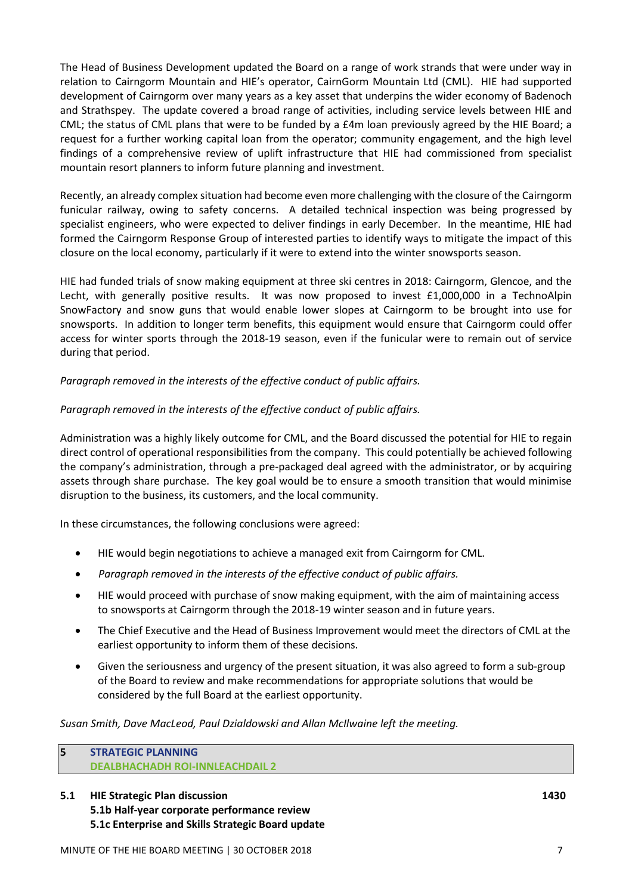The Head of Business Development updated the Board on a range of work strands that were under way in relation to Cairngorm Mountain and HIE's operator, CairnGorm Mountain Ltd (CML). HIE had supported development of Cairngorm over many years as a key asset that underpins the wider economy of Badenoch and Strathspey. The update covered a broad range of activities, including service levels between HIE and CML; the status of CML plans that were to be funded by a £4m loan previously agreed by the HIE Board; a request for a further working capital loan from the operator; community engagement, and the high level findings of a comprehensive review of uplift infrastructure that HIE had commissioned from specialist mountain resort planners to inform future planning and investment.

Recently, an already complex situation had become even more challenging with the closure of the Cairngorm funicular railway, owing to safety concerns. A detailed technical inspection was being progressed by specialist engineers, who were expected to deliver findings in early December. In the meantime, HIE had formed the Cairngorm Response Group of interested parties to identify ways to mitigate the impact of this closure on the local economy, particularly if it were to extend into the winter snowsports season.

HIE had funded trials of snow making equipment at three ski centres in 2018: Cairngorm, Glencoe, and the Lecht, with generally positive results. It was now proposed to invest £1,000,000 in a TechnoAlpin SnowFactory and snow guns that would enable lower slopes at Cairngorm to be brought into use for snowsports. In addition to longer term benefits, this equipment would ensure that Cairngorm could offer access for winter sports through the 2018-19 season, even if the funicular were to remain out of service during that period.

*Paragraph removed in the interests of the effective conduct of public affairs.* 

## *Paragraph removed in the interests of the effective conduct of public affairs.*

Administration was a highly likely outcome for CML, and the Board discussed the potential for HIE to regain direct control of operational responsibilities from the company. This could potentially be achieved following the company's administration, through a pre-packaged deal agreed with the administrator, or by acquiring assets through share purchase. The key goal would be to ensure a smooth transition that would minimise disruption to the business, its customers, and the local community.

In these circumstances, the following conclusions were agreed:

- HIE would begin negotiations to achieve a managed exit from Cairngorm for CML.
- *Paragraph removed in the interests of the effective conduct of public affairs.*
- HIE would proceed with purchase of snow making equipment, with the aim of maintaining access to snowsports at Cairngorm through the 2018-19 winter season and in future years.
- The Chief Executive and the Head of Business Improvement would meet the directors of CML at the earliest opportunity to inform them of these decisions.
- Given the seriousness and urgency of the present situation, it was also agreed to form a sub-group of the Board to review and make recommendations for appropriate solutions that would be considered by the full Board at the earliest opportunity.

*Susan Smith, Dave MacLeod, Paul Dzialdowski and Allan McIlwaine left the meeting.*

#### **5 STRATEGIC PLANNING DEALBHACHADH ROI-INNLEACHDAIL 2**

**5.1 HIE Strategic Plan discussion 1430 5.1b Half-year corporate performance review 5.1c Enterprise and Skills Strategic Board update**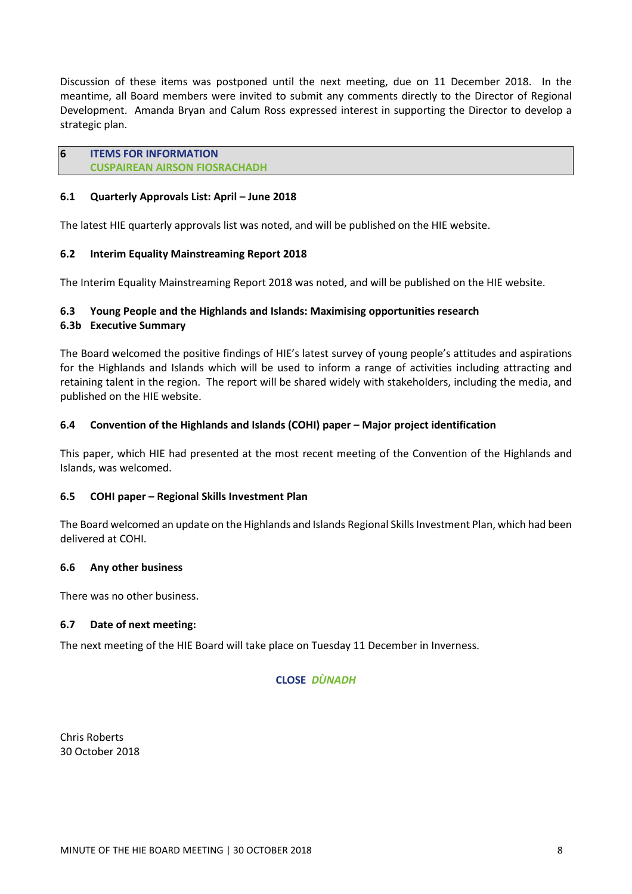Discussion of these items was postponed until the next meeting, due on 11 December 2018. In the meantime, all Board members were invited to submit any comments directly to the Director of Regional Development. Amanda Bryan and Calum Ross expressed interest in supporting the Director to develop a strategic plan.

## **6 ITEMS FOR INFORMATION**

**CUSPAIREAN AIRSON FIOSRACHADH**

#### **6.1 Quarterly Approvals List: April – June 2018**

The latest HIE quarterly approvals list was noted, and will be published on the HIE website.

## **6.2 Interim Equality Mainstreaming Report 2018**

The Interim Equality Mainstreaming Report 2018 was noted, and will be published on the HIE website.

## **6.3 Young People and the Highlands and Islands: Maximising opportunities research**

## **6.3b Executive Summary**

The Board welcomed the positive findings of HIE's latest survey of young people's attitudes and aspirations for the Highlands and Islands which will be used to inform a range of activities including attracting and retaining talent in the region. The report will be shared widely with stakeholders, including the media, and published on the HIE website.

## **6.4 Convention of the Highlands and Islands (COHI) paper – Major project identification**

This paper, which HIE had presented at the most recent meeting of the Convention of the Highlands and Islands, was welcomed.

#### **6.5 COHI paper – Regional Skills Investment Plan**

The Board welcomed an update on the Highlands and Islands Regional Skills Investment Plan, which had been delivered at COHI.

#### **6.6 Any other business**

There was no other business.

#### **6.7 Date of next meeting:**

The next meeting of the HIE Board will take place on Tuesday 11 December in Inverness.

#### **CLOSE** *DÙNADH*

Chris Roberts 30 October 2018